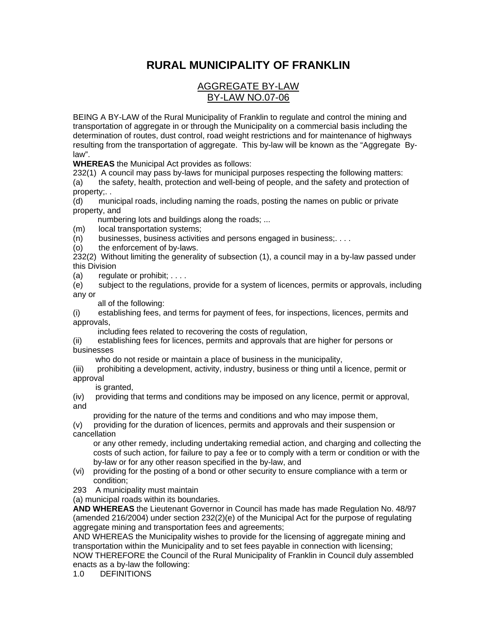## **RURAL MUNICIPALITY OF FRANKLIN**

## AGGREGATE BY-LAW BY-LAW NO.07-06

BEING A BY-LAW of the Rural Municipality of Franklin to regulate and control the mining and transportation of aggregate in or through the Municipality on a commercial basis including the determination of routes, dust control, road weight restrictions and for maintenance of highways resulting from the transportation of aggregate. This by-law will be known as the "Aggregate Bylaw".

**WHEREAS** the Municipal Act provides as follows:

232(1) A council may pass by-laws for municipal purposes respecting the following matters:

(a) the safety, health, protection and well-being of people, and the safety and protection of property;. .

(d) municipal roads, including naming the roads, posting the names on public or private property, and

numbering lots and buildings along the roads; ...

(m) local transportation systems;

(n) businesses, business activities and persons engaged in business;. . . .

(o) the enforcement of by-laws.

232(2) Without limiting the generality of subsection (1), a council may in a by-law passed under this Division

(a) regulate or prohibit;  $\ldots$ .

(e) subject to the regulations, provide for a system of licences, permits or approvals, including any or

all of the following:

(i) establishing fees, and terms for payment of fees, for inspections, licences, permits and approvals,

including fees related to recovering the costs of regulation,

(ii) establishing fees for licences, permits and approvals that are higher for persons or businesses

who do not reside or maintain a place of business in the municipality,

(iii) prohibiting a development, activity, industry, business or thing until a licence, permit or approval

is granted.

(iv) providing that terms and conditions may be imposed on any licence, permit or approval, and

providing for the nature of the terms and conditions and who may impose them,

(v) providing for the duration of licences, permits and approvals and their suspension or cancellation

 or any other remedy, including undertaking remedial action, and charging and collecting the costs of such action, for failure to pay a fee or to comply with a term or condition or with the by-law or for any other reason specified in the by-law, and

- (vi) providing for the posting of a bond or other security to ensure compliance with a term or condition;
- 293 A municipality must maintain

(a) municipal roads within its boundaries.

**AND WHEREAS** the Lieutenant Governor in Council has made has made Regulation No. 48/97 (amended 216/2004) under section 232(2)(e) of the Municipal Act for the purpose of regulating aggregate mining and transportation fees and agreements;

AND WHEREAS the Municipality wishes to provide for the licensing of aggregate mining and transportation within the Municipality and to set fees payable in connection with licensing; NOW THEREFORE the Council of the Rural Municipality of Franklin in Council duly assembled enacts as a by-law the following:

1.0 DEFINITIONS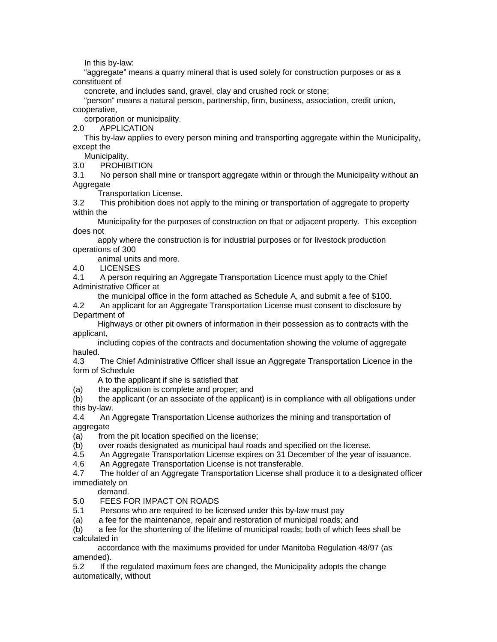In this by-law:

 "aggregate" means a quarry mineral that is used solely for construction purposes or as a constituent of

concrete, and includes sand, gravel, clay and crushed rock or stone;

 "person" means a natural person, partnership, firm, business, association, credit union, cooperative,

corporation or municipality.

2.0 APPLICATION

 This by-law applies to every person mining and transporting aggregate within the Municipality, except the

Municipality.

3.0 PROHIBITION

3.1 No person shall mine or transport aggregate within or through the Municipality without an Aggregate

Transportation License.

3.2 This prohibition does not apply to the mining or transportation of aggregate to property within the

 Municipality for the purposes of construction on that or adjacent property. This exception does not

 apply where the construction is for industrial purposes or for livestock production operations of 300

animal units and more.

4.0 LICENSES

4.1 A person requiring an Aggregate Transportation Licence must apply to the Chief Administrative Officer at

 the municipal office in the form attached as Schedule A, and submit a fee of \$100. 4.2 An applicant for an Aggregate Transportation License must consent to disclosure by Department of

 Highways or other pit owners of information in their possession as to contracts with the applicant,

 including copies of the contracts and documentation showing the volume of aggregate hauled.

4.3 The Chief Administrative Officer shall issue an Aggregate Transportation Licence in the form of Schedule

A to the applicant if she is satisfied that

(a) the application is complete and proper; and

(b) the applicant (or an associate of the applicant) is in compliance with all obligations under this by-law.

4.4 An Aggregate Transportation License authorizes the mining and transportation of aggregate

(a) from the pit location specified on the license;

(b) over roads designated as municipal haul roads and specified on the license.

4.5 An Aggregate Transportation License expires on 31 December of the year of issuance.

4.6 An Aggregate Transportation License is not transferable.

4.7 The holder of an Aggregate Transportation License shall produce it to a designated officer immediately on

demand.

5.0 FEES FOR IMPACT ON ROADS

5.1 Persons who are required to be licensed under this by-law must pay

(a) a fee for the maintenance, repair and restoration of municipal roads; and

(b) a fee for the shortening of the lifetime of municipal roads; both of which fees shall be calculated in

 accordance with the maximums provided for under Manitoba Regulation 48/97 (as amended).

5.2 If the regulated maximum fees are changed, the Municipality adopts the change automatically, without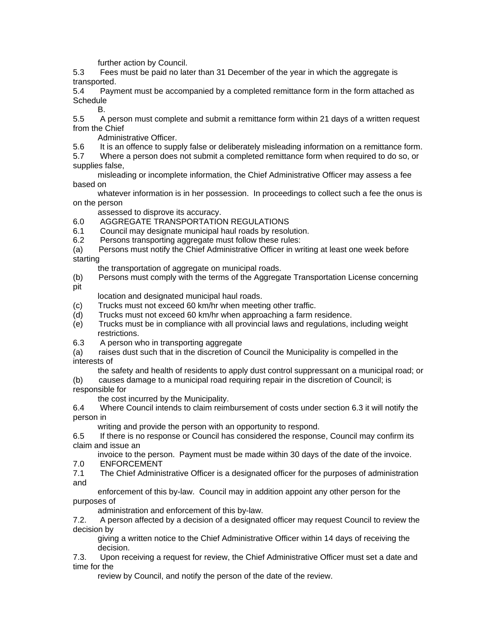further action by Council.

5.3 Fees must be paid no later than 31 December of the year in which the aggregate is transported.

5.4 Payment must be accompanied by a completed remittance form in the form attached as **Schedule** 

B.

5.5 A person must complete and submit a remittance form within 21 days of a written request from the Chief

Administrative Officer.

5.6 It is an offence to supply false or deliberately misleading information on a remittance form.

5.7 Where a person does not submit a completed remittance form when required to do so, or supplies false,

 misleading or incomplete information, the Chief Administrative Officer may assess a fee based on

 whatever information is in her possession. In proceedings to collect such a fee the onus is on the person

assessed to disprove its accuracy.

- 6.0 AGGREGATE TRANSPORTATION REGULATIONS
- 6.1 Council may designate municipal haul roads by resolution.

6.2 Persons transporting aggregate must follow these rules:

(a) Persons must notify the Chief Administrative Officer in writing at least one week before starting

the transportation of aggregate on municipal roads.

(b) Persons must comply with the terms of the Aggregate Transportation License concerning pit

location and designated municipal haul roads.

- (c) Trucks must not exceed 60 km/hr when meeting other traffic.
- (d) Trucks must not exceed 60 km/hr when approaching a farm residence.
- (e) Trucks must be in compliance with all provincial laws and regulations, including weight restrictions.
- 6.3 A person who in transporting aggregate

(a) raises dust such that in the discretion of Council the Municipality is compelled in the interests of

the safety and health of residents to apply dust control suppressant on a municipal road; or

(b) causes damage to a municipal road requiring repair in the discretion of Council; is responsible for

the cost incurred by the Municipality.

6.4 Where Council intends to claim reimbursement of costs under section 6.3 it will notify the person in

writing and provide the person with an opportunity to respond.

6.5 If there is no response or Council has considered the response, Council may confirm its claim and issue an

 invoice to the person. Payment must be made within 30 days of the date of the invoice. 7.0 ENFORCEMENT

7.1 The Chief Administrative Officer is a designated officer for the purposes of administration and

 enforcement of this by-law. Council may in addition appoint any other person for the purposes of

administration and enforcement of this by-law.

7.2. A person affected by a decision of a designated officer may request Council to review the decision by

 giving a written notice to the Chief Administrative Officer within 14 days of receiving the decision.

7.3. Upon receiving a request for review, the Chief Administrative Officer must set a date and time for the

review by Council, and notify the person of the date of the review.